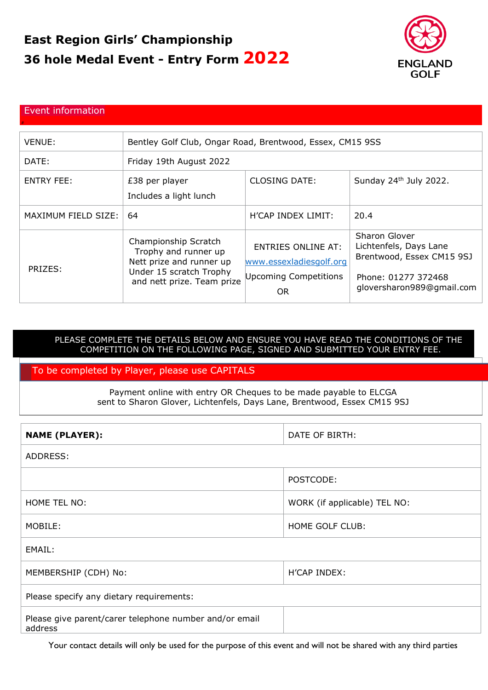# **East Region Girls' Championship 36 hole Medal Event - Entry Form 2022**



#### Event information

#

| <b>VENUE:</b>       | Bentley Golf Club, Ongar Road, Brentwood, Essex, CM15 9SS                                                                         |                                                                                            |                                                                                                                          |
|---------------------|-----------------------------------------------------------------------------------------------------------------------------------|--------------------------------------------------------------------------------------------|--------------------------------------------------------------------------------------------------------------------------|
| DATE:               | Friday 19th August 2022                                                                                                           |                                                                                            |                                                                                                                          |
| <b>ENTRY FEE:</b>   | £38 per player<br>Includes a light lunch                                                                                          | <b>CLOSING DATE:</b>                                                                       | Sunday 24 <sup>th</sup> July 2022.                                                                                       |
| MAXIMUM FIELD SIZE: | 64                                                                                                                                | H'CAP INDEX LIMIT:                                                                         | 20.4                                                                                                                     |
| PRIZES:             | Championship Scratch<br>Trophy and runner up<br>Nett prize and runner up<br>Under 15 scratch Trophy<br>and nett prize. Team prize | <b>ENTRIES ONLINE AT:</b><br>www.essexladiesgolf.org<br>Upcoming Competitions<br><b>OR</b> | Sharon Glover<br>Lichtenfels, Days Lane<br>Brentwood, Essex CM15 9SJ<br>Phone: 01277 372468<br>gloversharon989@gmail.com |

## PLEASE COMPLETE THE DETAILS BELOW AND ENSURE YOU HAVE READ THE CONDITIONS OF THE COMPETITION ON THE FOLLOWING PAGE, SIGNED AND SUBMITTED YOUR ENTRY FEE.

## To be completed by Player, please use CAPITALS

Payment online with entry OR Cheques to be made payable to ELCGA sent to Sharon Glover, Lichtenfels, Days Lane, Brentwood, Essex CM15 9SJ

| <b>NAME (PLAYER):</b>                                             | DATE OF BIRTH:               |  |  |  |
|-------------------------------------------------------------------|------------------------------|--|--|--|
| ADDRESS:                                                          |                              |  |  |  |
|                                                                   | POSTCODE:                    |  |  |  |
| HOME TEL NO:                                                      | WORK (if applicable) TEL NO: |  |  |  |
| MOBILE:                                                           | HOME GOLF CLUB:              |  |  |  |
| EMAIL:                                                            |                              |  |  |  |
| MEMBERSHIP (CDH) No:                                              | <b>H'CAP INDEX:</b>          |  |  |  |
| Please specify any dietary requirements:                          |                              |  |  |  |
| Please give parent/carer telephone number and/or email<br>address |                              |  |  |  |

Your contact details will only be used for the purpose of this event and will not be shared with any third parties